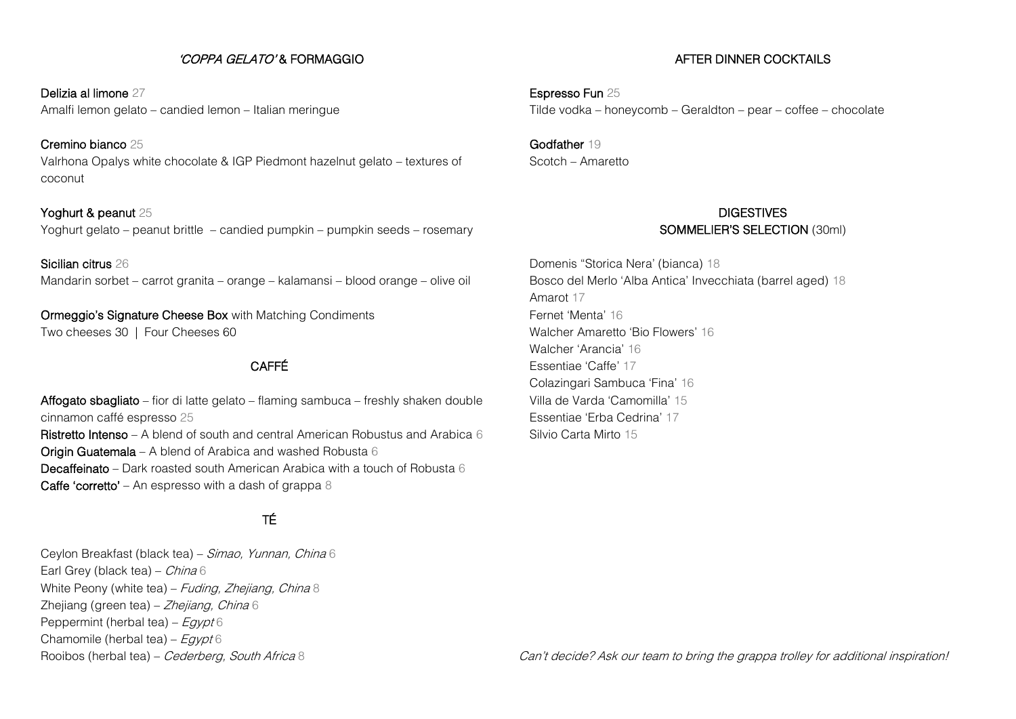## 'COPPA GELATO' & FORMAGGIO

Delizia al limone 27 Amalfi lemon gelato – candied lemon – Italian meringue

Cremino bianco 25 Valrhona Opalys white chocolate & IGP Piedmont hazelnut gelato – textures of coconut

Yoghurt & peanut 25 Yoghurt gelato – peanut brittle – candied pumpkin – pumpkin seeds – rosemary

Sicilian citrus 26 Mandarin sorbet – carrot granita – orange – kalamansi – blood orange – olive oil

Ormeggio's Signature Cheese Box with Matching Condiments Two cheeses 30 | Four Cheeses 60

## CAFFÉ

Affogato sbagliato – fior di latte gelato – flaming sambuca – freshly shaken double cinnamon caffé espresso 25 **Ristretto Intenso** – A blend of south and central American Robustus and Arabica 6 **Origin Guatemala** – A blend of Arabica and washed Robusta  $6$ 

Decaffeinato – Dark roasted south American Arabica with a touch of Robusta 6 Caffe 'corretto' – An espresso with a dash of grappa 8

# TÉ

Ceylon Breakfast (black tea) – Simao, Yunnan, China 6 Earl Grey (black tea) - China 6 White Peony (white tea) – Fuding, Zhejiang, China 8 Zhejiang (green tea) – Zhejiang, China 6 Peppermint (herbal tea) –  $Egypt6$ Chamomile (herbal tea) –  $Eqvpt6$ Rooibos (herbal tea) – Cederberg, South Africa 8

#### AFTER DINNER COCKTAILS

Espresso Fun 25 Tilde vodka – honeycomb – Geraldton – pear – coffee – chocolate

Godfather 19 Scotch – Amaretto

## **DIGESTIVES** SOMMELIER'S SELECTION (30ml)

Domenis "Storica Nera' (bianca) 18 Bosco del Merlo 'Alba Antica' Invecchiata (barrel aged) 18 Amarot 17 Fernet 'Menta' 16 Walcher Amaretto 'Bio Flowers' 16 Walcher 'Arancia' 16 Essentiae 'Caffe' 17 Colazingari Sambuca 'Fina' 16 Villa de Varda 'Camomilla' 15 Essentiae 'Erba Cedrina' 17 Silvio Carta Mirto 15

Can't decide? Ask our team to bring the grappa trolley for additional inspiration!